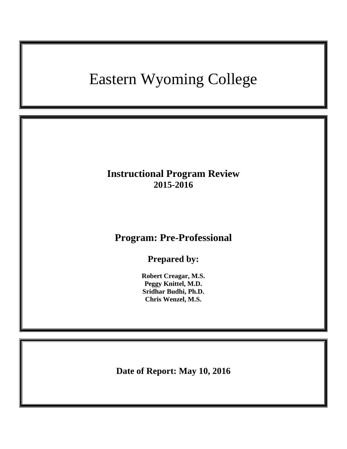# Eastern Wyoming College

# **Instructional Program Review 2015-2016**

# **Program: Pre-Professional**

**Prepared by:**

**Robert Creagar, M.S. Peggy Knittel, M.D. Sridhar Budhi, Ph.D. Chris Wenzel, M.S.**

**Date of Report: May 10, 2016**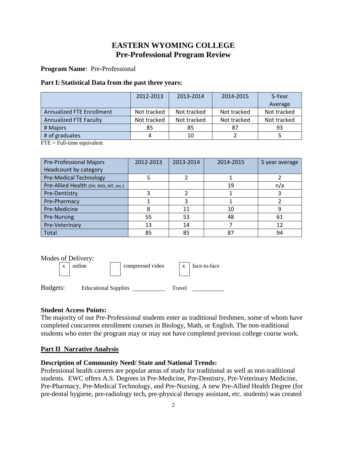# **EASTERN WYOMING COLLEGE Pre-Professional Program Review**

**Program Name**: Pre-Professional

#### **Part I: Statistical Data from the past three years:**

|                                  | 2012-2013   | 2013-2014   | 2014-2015   | 5-Year      |
|----------------------------------|-------------|-------------|-------------|-------------|
|                                  |             |             |             | Average     |
| <b>Annualized FTE Enrollment</b> | Not tracked | Not tracked | Not tracked | Not tracked |
| <b>Annualized FTE Faculty</b>    | Not tracked | Not tracked | Not tracked | Not tracked |
| # Majors                         | 85          | 85          | 87          | 93          |
| # of graduates                   |             | 10          |             |             |

 $FTE = Full-time equivalent$ 

| <b>Pre-Professional Majors</b>        | 2012-2013 | 2013-2014 | 2014-2015 | 5 year average |
|---------------------------------------|-----------|-----------|-----------|----------------|
| Headcount by category                 |           |           |           |                |
| <b>Pre-Medical Technology</b>         |           |           |           |                |
| Pre-Allied Health (DH, RAD, MT, etc.) |           |           | 19        | n/a            |
| Pre-Dentistry                         |           |           |           |                |
| Pre-Pharmacy                          |           |           |           |                |
| Pre-Medicine                          |           | 11        | 10        |                |
| Pre-Nursing                           | 55        | 53        | 48        | 61             |
| Pre-Veterinary                        | 13        | 14        |           | 12             |
| Total                                 | 85        | 85        | 87        | 94             |

| л DVII v VI у . |                  |                              |
|-----------------|------------------|------------------------------|
| x online        | compressed video | $\vert x \vert$ face-to-face |

| face-to-face |  |
|--------------|--|
|--------------|--|

Budgets: Educational Supplies \_\_\_\_\_\_\_\_\_\_\_\_\_ Travel \_\_\_

### **Student Access Points:**

The majority of our Pre-Professional students enter as traditional freshmen, some of whom have completed concurrent enrollment courses in Biology, Math, or English. The non-traditional students who enter the program may or may not have completed previous college course work.

# **Part II Narrative Analysis**

### **Description of Community Need/ State and National Trends:**

Professional health careers are popular areas of study for traditional as well as non-traditional students. EWC offers A.S. Degrees in Pre-Medicine, Pre-Dentistry, Pre-Veterinary Medicine, Pre-Pharmacy, Pre-Medical Technology, and Pre-Nursing. A new Pre-Allied Health Degree (for pre-dental hygiene, pre-radiology tech, pre-physical therapy assistant, etc. students) was created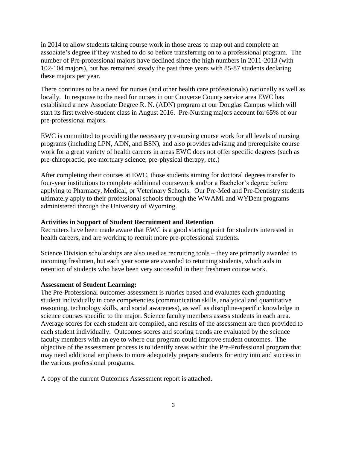in 2014 to allow students taking course work in those areas to map out and complete an associate's degree if they wished to do so before transferring on to a professional program. The number of Pre-professional majors have declined since the high numbers in 2011-2013 (with 102-104 majors), but has remained steady the past three years with 85-87 students declaring these majors per year.

There continues to be a need for nurses (and other health care professionals) nationally as well as locally. In response to the need for nurses in our Converse County service area EWC has established a new Associate Degree R. N. (ADN) program at our Douglas Campus which will start its first twelve-student class in August 2016. Pre-Nursing majors account for 65% of our pre-professional majors.

EWC is committed to providing the necessary pre-nursing course work for all levels of nursing programs (including LPN, ADN, and BSN), and also provides advising and prerequisite course work for a great variety of health careers in areas EWC does not offer specific degrees (such as pre-chiropractic, pre-mortuary science, pre-physical therapy, etc.)

After completing their courses at EWC, those students aiming for doctoral degrees transfer to four-year institutions to complete additional coursework and/or a Bachelor's degree before applying to Pharmacy, Medical, or Veterinary Schools. Our Pre-Med and Pre-Dentistry students ultimately apply to their professional schools through the WWAMI and WYDent programs administered through the University of Wyoming.

#### **Activities in Support of Student Recruitment and Retention**

Recruiters have been made aware that EWC is a good starting point for students interested in health careers, and are working to recruit more pre-professional students.

Science Division scholarships are also used as recruiting tools – they are primarily awarded to incoming freshmen, but each year some are awarded to returning students, which aids in retention of students who have been very successful in their freshmen course work.

#### **Assessment of Student Learning:**

The Pre-Professional outcomes assessment is rubrics based and evaluates each graduating student individually in core competencies (communication skills, analytical and quantitative reasoning, technology skills, and social awareness), as well as discipline-specific knowledge in science courses specific to the major. Science faculty members assess students in each area. Average scores for each student are compiled, and results of the assessment are then provided to each student individually. Outcomes scores and scoring trends are evaluated by the science faculty members with an eye to where our program could improve student outcomes. The objective of the assessment process is to identify areas within the Pre-Professional program that may need additional emphasis to more adequately prepare students for entry into and success in the various professional programs.

A copy of the current Outcomes Assessment report is attached.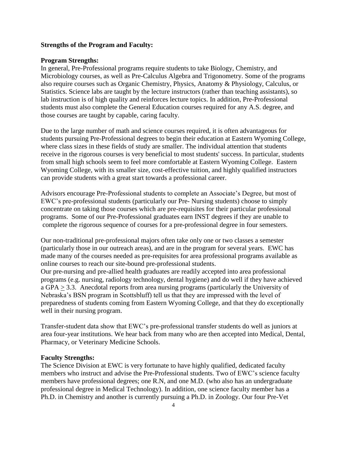#### **Strengths of the Program and Faculty:**

#### **Program Strengths:**

In general, Pre-Professional programs require students to take Biology, Chemistry, and Microbiology courses, as well as Pre-Calculus Algebra and Trigonometry. Some of the programs also require courses such as Organic Chemistry, Physics, Anatomy & Physiology, Calculus, or Statistics. Science labs are taught by the lecture instructors (rather than teaching assistants), so lab instruction is of high quality and reinforces lecture topics. In addition, Pre-Professional students must also complete the General Education courses required for any A.S. degree, and those courses are taught by capable, caring faculty.

Due to the large number of math and science courses required, it is often advantageous for students pursuing Pre-Professional degrees to begin their education at Eastern Wyoming College, where class sizes in these fields of study are smaller. The individual attention that students receive in the rigorous courses is very beneficial to most students' success. In particular, students from small high schools seem to feel more comfortable at Eastern Wyoming College. Eastern Wyoming College, with its smaller size, cost-effective tuition, and highly qualified instructors can provide students with a great start towards a professional career.

Advisors encourage Pre-Professional students to complete an Associate's Degree, but most of EWC's pre-professional students (particularly our Pre- Nursing students) choose to simply concentrate on taking those courses which are pre-requisites for their particular professional programs. Some of our Pre-Professional graduates earn INST degrees if they are unable to complete the rigorous sequence of courses for a pre-professional degree in four semesters.

Our non-traditional pre-professional majors often take only one or two classes a semester (particularly those in our outreach areas), and are in the program for several years. EWC has made many of the courses needed as pre-requisites for area professional programs available as online courses to reach our site-bound pre-professional students.

Our pre-nursing and pre-allied health graduates are readily accepted into area professional programs (e.g. nursing, radiology technology, dental hygiene) and do well if they have achieved a GPA > 3.3. Anecdotal reports from area nursing programs (particularly the University of Nebraska's BSN program in Scottsbluff) tell us that they are impressed with the level of preparedness of students coming from Eastern Wyoming College, and that they do exceptionally well in their nursing program.

Transfer-student data show that EWC's pre-professional transfer students do well as juniors at area four-year institutions. We hear back from many who are then accepted into Medical, Dental, Pharmacy, or Veterinary Medicine Schools.

#### **Faculty Strengths:**

The Science Division at EWC is very fortunate to have highly qualified, dedicated faculty members who instruct and advise the Pre-Professional students. Two of EWC's science faculty members have professional degrees; one R.N, and one M.D. (who also has an undergraduate professional degree in Medical Technology). In addition, one science faculty member has a Ph.D. in Chemistry and another is currently pursuing a Ph.D. in Zoology. Our four Pre-Vet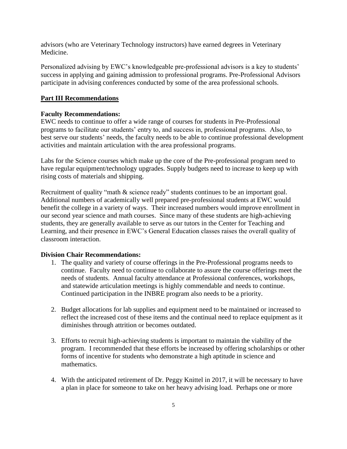advisors (who are Veterinary Technology instructors) have earned degrees in Veterinary Medicine.

Personalized advising by EWC's knowledgeable pre-professional advisors is a key to students' success in applying and gaining admission to professional programs. Pre-Professional Advisors participate in advising conferences conducted by some of the area professional schools.

#### **Part III Recommendations**

#### **Faculty Recommendations:**

EWC needs to continue to offer a wide range of courses for students in Pre-Professional programs to facilitate our students' entry to, and success in, professional programs. Also, to best serve our students' needs, the faculty needs to be able to continue professional development activities and maintain articulation with the area professional programs.

Labs for the Science courses which make up the core of the Pre-professional program need to have regular equipment/technology upgrades. Supply budgets need to increase to keep up with rising costs of materials and shipping.

Recruitment of quality "math & science ready" students continues to be an important goal. Additional numbers of academically well prepared pre-professional students at EWC would benefit the college in a variety of ways. Their increased numbers would improve enrollment in our second year science and math courses. Since many of these students are high-achieving students, they are generally available to serve as our tutors in the Center for Teaching and Learning, and their presence in EWC's General Education classes raises the overall quality of classroom interaction.

#### **Division Chair Recommendations:**

- 1. The quality and variety of course offerings in the Pre-Professional programs needs to continue. Faculty need to continue to collaborate to assure the course offerings meet the needs of students. Annual faculty attendance at Professional conferences, workshops, and statewide articulation meetings is highly commendable and needs to continue. Continued participation in the INBRE program also needs to be a priority.
- 2. Budget allocations for lab supplies and equipment need to be maintained or increased to reflect the increased cost of these items and the continual need to replace equipment as it diminishes through attrition or becomes outdated.
- 3. Efforts to recruit high-achieving students is important to maintain the viability of the program. I recommended that these efforts be increased by offering scholarships or other forms of incentive for students who demonstrate a high aptitude in science and mathematics.
- 4. With the anticipated retirement of Dr. Peggy Knittel in 2017, it will be necessary to have a plan in place for someone to take on her heavy advising load. Perhaps one or more